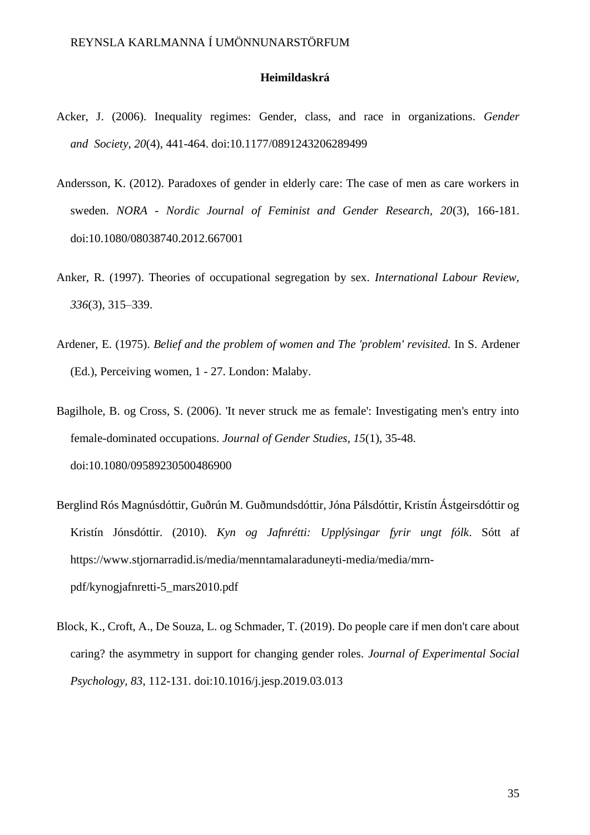## **Heimildaskrá**

- Acker, J. (2006). Inequality regimes: Gender, class, and race in organizations. *Gender and Society, 20*(4), 441-464. doi:10.1177/0891243206289499
- Andersson, K. (2012). Paradoxes of gender in elderly care: The case of men as care workers in sweden. *NORA - Nordic Journal of Feminist and Gender Research, 20*(3), 166-181. doi:10.1080/08038740.2012.667001
- Anker, R. (1997). Theories of occupational segregation by sex. *International Labour Review, 336*(3), 315–339.
- Ardener, E. (1975). *Belief and the problem of women and The 'problem' revisited.* In S. Ardener (Ed.), Perceiving women, 1 - 27. London: Malaby.
- Bagilhole, B. og Cross, S. (2006). 'It never struck me as female': Investigating men's entry into female-dominated occupations. *Journal of Gender Studies, 15*(1), 35-48. doi:10.1080/09589230500486900
- Berglind Rós Magnúsdóttir, Guðrún M. Guðmundsdóttir, Jóna Pálsdóttir, Kristín Ástgeirsdóttir og Kristín Jónsdóttir. (2010). *Kyn og Jafnrétti: Upplýsingar fyrir ungt fólk*. Sótt af https://www.stjornarradid.is/media/menntamalaraduneyti-media/media/mrnpdf/kynogjafnretti-5\_mars2010.pdf
- Block, K., Croft, A., De Souza, L. og Schmader, T. (2019). Do people care if men don't care about caring? the asymmetry in support for changing gender roles. *Journal of Experimental Social Psychology, 83*, 112-131. doi:10.1016/j.jesp.2019.03.013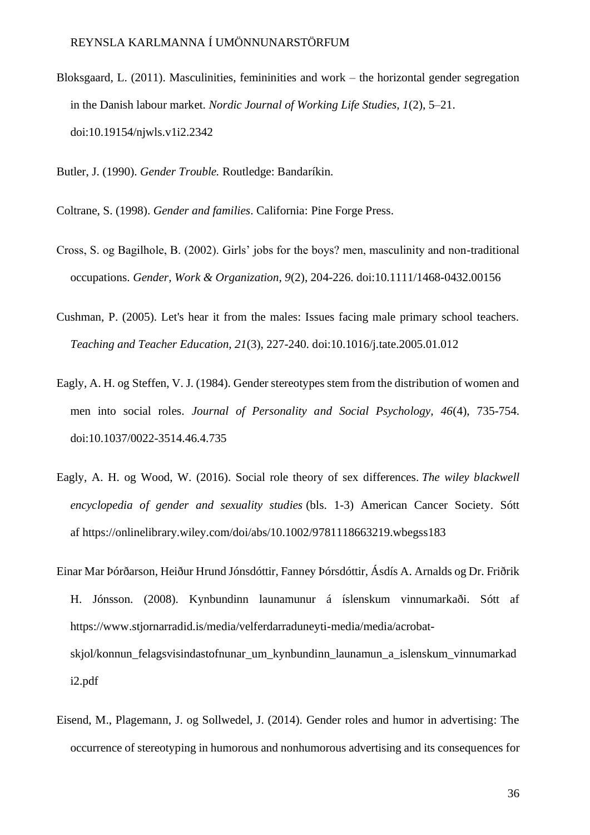Bloksgaard, L. (2011). Masculinities, femininities and work – the horizontal gender segregation in the Danish labour market. *Nordic Journal of Working Life Studies, 1*(2), 5–21. doi:10.19154/njwls.v1i2.2342

Butler, J. (1990). *Gender Trouble.* Routledge: Bandaríkin.

Coltrane, S. (1998). *Gender and families*. California: Pine Forge Press.

- Cross, S. og Bagilhole, B. (2002). Girls' jobs for the boys? men, masculinity and non-traditional occupations. *Gender, Work & Organization, 9*(2), 204-226. doi:10.1111/1468-0432.00156
- Cushman, P. (2005). Let's hear it from the males: Issues facing male primary school teachers. *Teaching and Teacher Education, 21*(3), 227-240. doi:10.1016/j.tate.2005.01.012
- Eagly, A. H. og Steffen, V. J. (1984). Gender stereotypes stem from the distribution of women and men into social roles. *Journal of Personality and Social Psychology, 46*(4), 735-754. doi:10.1037/0022-3514.46.4.735
- Eagly, A. H. og Wood, W. (2016). Social role theory of sex differences. *The wiley blackwell encyclopedia of gender and sexuality studies* (bls. 1-3) American Cancer Society. Sótt af https://onlinelibrary.wiley.com/doi/abs/10.1002/9781118663219.wbegss183
- Einar Mar Þórðarson, Heiður Hrund Jónsdóttir, Fanney Þórsdóttir, Ásdís A. Arnalds og Dr. Friðrik H. Jónsson. (2008). Kynbundinn launamunur á íslenskum vinnumarkaði. Sótt af https://www.stjornarradid.is/media/velferdarraduneyti-media/media/acrobatskjol/konnun\_felagsvisindastofnunar\_um\_kynbundinn\_launamun\_a\_islenskum\_vinnumarkad i2.pdf
- Eisend, M., Plagemann, J. og Sollwedel, J. (2014). Gender roles and humor in advertising: The occurrence of stereotyping in humorous and nonhumorous advertising and its consequences for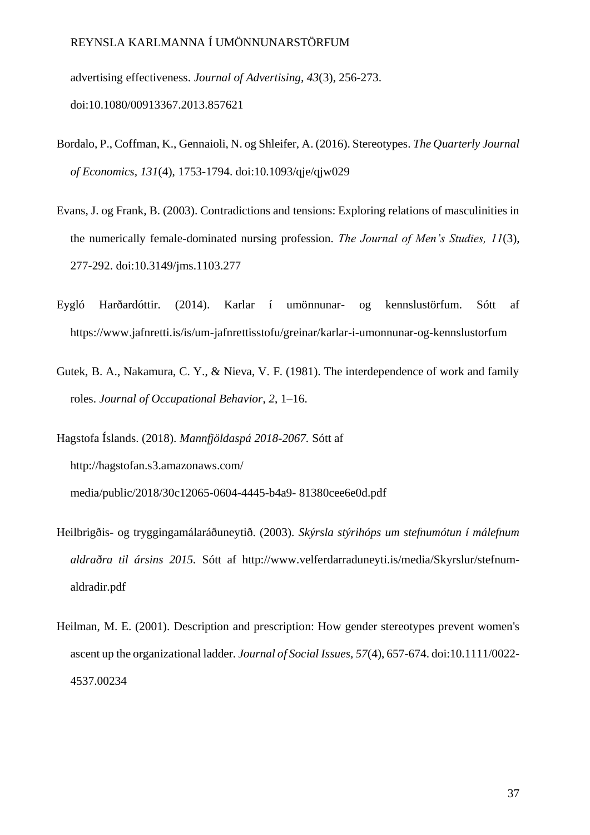advertising effectiveness. *Journal of Advertising, 43*(3), 256-273. doi:10.1080/00913367.2013.857621

- Bordalo, P., Coffman, K., Gennaioli, N. og Shleifer, A. (2016). Stereotypes. *The Quarterly Journal of Economics, 131*(4), 1753-1794. doi:10.1093/qje/qjw029
- Evans, J. og Frank, B. (2003). Contradictions and tensions: Exploring relations of masculinities in the numerically female-dominated nursing profession. *The Journal of Men's Studies, 11*(3), 277-292. doi:10.3149/jms.1103.277
- Eygló Harðardóttir. (2014). Karlar í umönnunar- og kennslustörfum. Sótt af https://www.jafnretti.is/is/um-jafnrettisstofu/greinar/karlar-i-umonnunar-og-kennslustorfum
- Gutek, B. A., Nakamura, C. Y., & Nieva, V. F. (1981). The interdependence of work and family roles. *Journal of Occupational Behavior*, *2*, 1–16.
- Hagstofa Íslands. (2018). *Mannfjöldaspá 2018-2067.* Sótt af http://hagstofan.s3.amazonaws.com/ media/public/2018/30c12065-0604-4445-b4a9- 81380cee6e0d.pdf
- Heilbrigðis- og tryggingamálaráðuneytið. (2003). *Skýrsla stýrihóps um stefnumótun í málefnum aldraðra til ársins 2015.* Sótt af [http://www.velferdarraduneyti.is/media/Skyrslur/stefnum](http://www.velferdarraduneyti.is/media/Skyrslur/stefnum-aldradir.pdf)[aldradir.pdf](http://www.velferdarraduneyti.is/media/Skyrslur/stefnum-aldradir.pdf)
- Heilman, M. E. (2001). Description and prescription: How gender stereotypes prevent women's ascent up the organizational ladder. *Journal of Social Issues, 57*(4), 657-674. doi:10.1111/0022- 4537.00234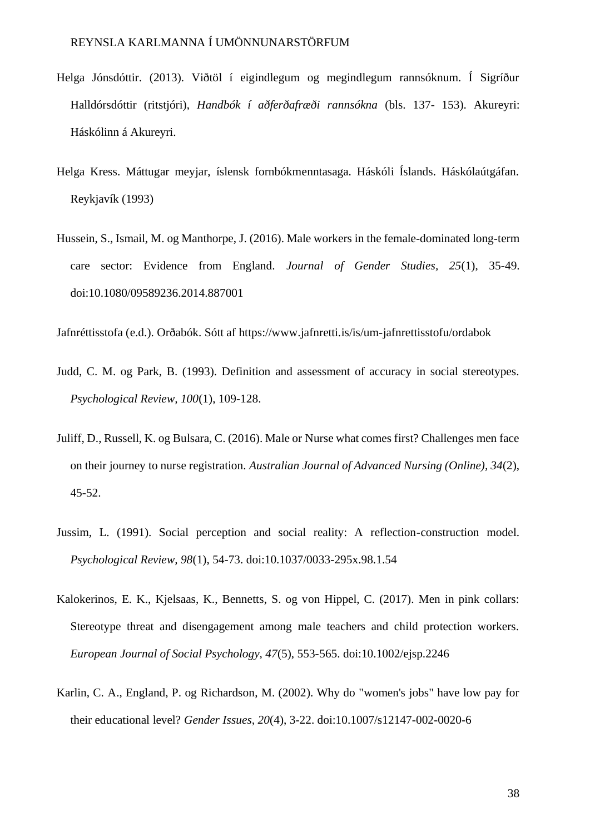- Helga Jónsdóttir. (2013). Viðtöl í eigindlegum og megindlegum rannsóknum. Í Sigríður Halldórsdóttir (ritstjóri), *Handbók í aðferðafræði rannsókna* (bls. 137- 153). Akureyri: Háskólinn á Akureyri.
- Helga Kress. Máttugar meyjar, íslensk fornbókmenntasaga. Háskóli Íslands. Háskólaútgáfan. Reykjavík (1993)
- Hussein, S., Ismail, M. og Manthorpe, J. (2016). Male workers in the female-dominated long-term care sector: Evidence from England. *Journal of Gender Studies, 25*(1), 35-49. doi:10.1080/09589236.2014.887001

Jafnréttisstofa (e.d.). Orðabók. Sótt af https://www.jafnretti.is/is/um-jafnrettisstofu/ordabok

- Judd, C. M. og Park, B. (1993). Definition and assessment of accuracy in social stereotypes. *Psychological Review, 100*(1), 109-128.
- Juliff, D., Russell, K. og Bulsara, C. (2016). Male or Nurse what comes first? Challenges men face on their journey to nurse registration. *Australian Journal of Advanced Nursing (Online), 34*(2), 45-52.
- Jussim, L. (1991). Social perception and social reality: A reflection-construction model. *Psychological Review, 98*(1), 54-73. doi:10.1037/0033-295x.98.1.54
- Kalokerinos, E. K., Kjelsaas, K., Bennetts, S. og von Hippel, C. (2017). Men in pink collars: Stereotype threat and disengagement among male teachers and child protection workers. *European Journal of Social Psychology, 47*(5), 553-565. doi:10.1002/ejsp.2246
- Karlin, C. A., England, P. og Richardson, M. (2002). Why do "women's jobs" have low pay for their educational level? *Gender Issues, 20*(4), 3-22. doi:10.1007/s12147-002-0020-6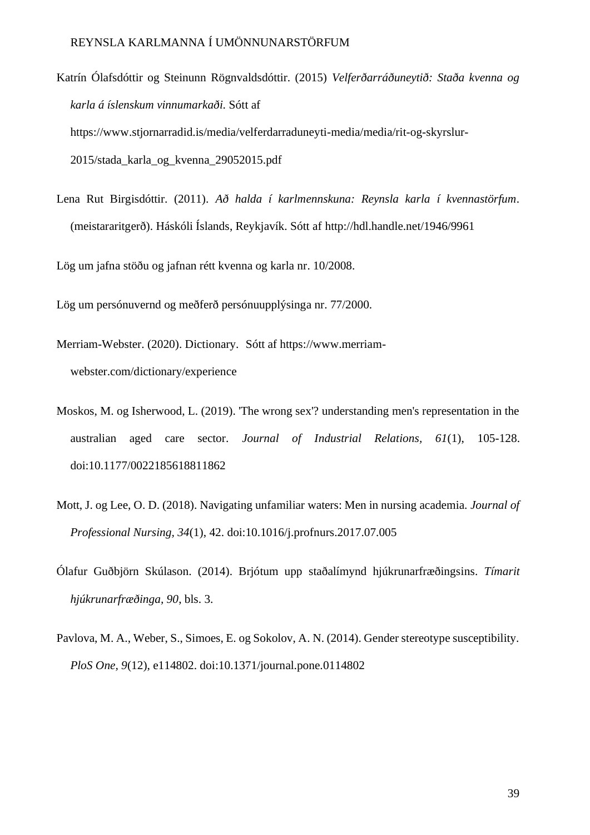Katrín Ólafsdóttir og Steinunn Rögnvaldsdóttir. (2015) *Velferðarráðuneytið: Staða kvenna og karla á íslenskum vinnumarkaði.* Sótt af https://www.stjornarradid.is/media/velferdarraduneyti-media/media/rit-og-skyrslur-2015/stada\_karla\_og\_kvenna\_29052015.pdf

Lena Rut Birgisdóttir. (2011). *Að halda í karlmennskuna: Reynsla karla í kvennastörfum*. (meistararitgerð). Háskóli Íslands, Reykjavík. Sótt af <http://hdl.handle.net/1946/9961>

Lög um jafna stöðu og jafnan rétt kvenna og karla nr. 10/2008.

Lög um persónuvernd og meðferð persónuupplýsinga nr. 77/2000.

Merriam-Webster. (2020). Dictionary. Sótt af https://www.merriamwebster.com/dictionary/experience

- Moskos, M. og Isherwood, L. (2019). 'The wrong sex'? understanding men's representation in the australian aged care sector. *Journal of Industrial Relations, 61*(1), 105-128. doi:10.1177/0022185618811862
- Mott, J. og Lee, O. D. (2018). Navigating unfamiliar waters: Men in nursing academia. *Journal of Professional Nursing, 34*(1), 42. doi:10.1016/j.profnurs.2017.07.005
- Ólafur Guðbjörn Skúlason. (2014). Brjótum upp staðalímynd hjúkrunarfræðingsins. *Tímarit hjúkrunarfræðinga, 90*, bls. 3.
- Pavlova, M. A., Weber, S., Simoes, E. og Sokolov, A. N. (2014). Gender stereotype susceptibility. *PloS One, 9*(12), e114802. doi:10.1371/journal.pone.0114802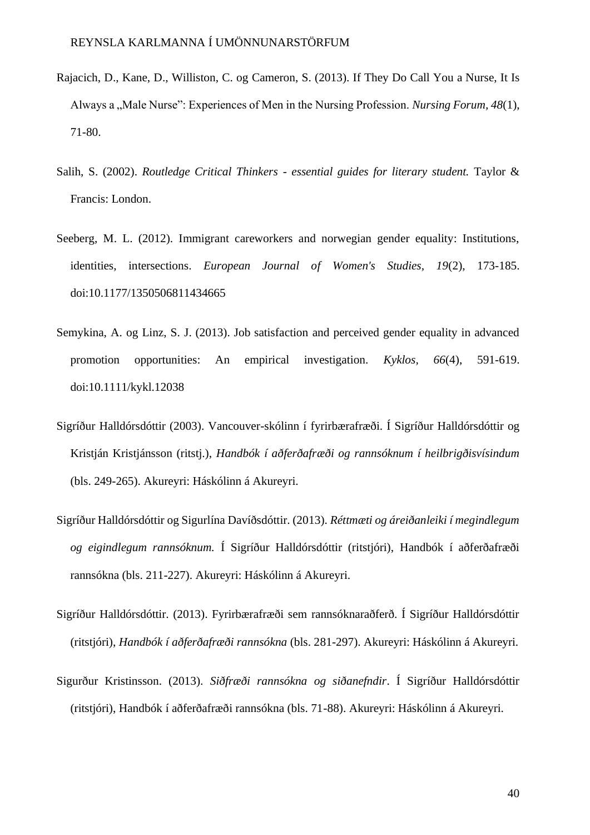- Rajacich, D., Kane, D., Williston, C. og Cameron, S. (2013). If They Do Call You a Nurse, It Is Always a ..Male Nurse": Experiences of Men in the Nursing Profession. *Nursing Forum, 48(1)*, 71-80.
- Salih, S. (2002). *Routledge Critical Thinkers - essential guides for literary student.* Taylor & Francis: London.
- Seeberg, M. L. (2012). Immigrant careworkers and norwegian gender equality: Institutions, identities, intersections. *European Journal of Women's Studies, 19*(2), 173-185. doi:10.1177/1350506811434665
- Semykina, A. og Linz, S. J. (2013). Job satisfaction and perceived gender equality in advanced promotion opportunities: An empirical investigation. *Kyklos, 66*(4), 591-619. doi:10.1111/kykl.12038
- Sigríður Halldórsdóttir (2003). Vancouver-skólinn í fyrirbærafræði. Í Sigríður Halldórsdóttir og Kristján Kristjánsson (ritstj.), *Handbók í aðferðafræði og rannsóknum í heilbrigðisvísindum* (bls. 249-265). Akureyri: Háskólinn á Akureyri.
- Sigríður Halldórsdóttir og Sigurlína Davíðsdóttir. (2013). *Réttmæti og áreiðanleiki í megindlegum og eigindlegum rannsóknum.* Í Sigríður Halldórsdóttir (ritstjóri), Handbók í aðferðafræði rannsókna (bls. 211-227). Akureyri: Háskólinn á Akureyri.
- Sigríður Halldórsdóttir. (2013). Fyrirbærafræði sem rannsóknaraðferð. Í Sigríður Halldórsdóttir (ritstjóri), *Handbók í aðferðafræði rannsókna* (bls. 281-297). Akureyri: Háskólinn á Akureyri.
- Sigurður Kristinsson. (2013). *Siðfræði rannsókna og siðanefndir*. Í Sigríður Halldórsdóttir (ritstjóri), Handbók í aðferðafræði rannsókna (bls. 71-88). Akureyri: Háskólinn á Akureyri.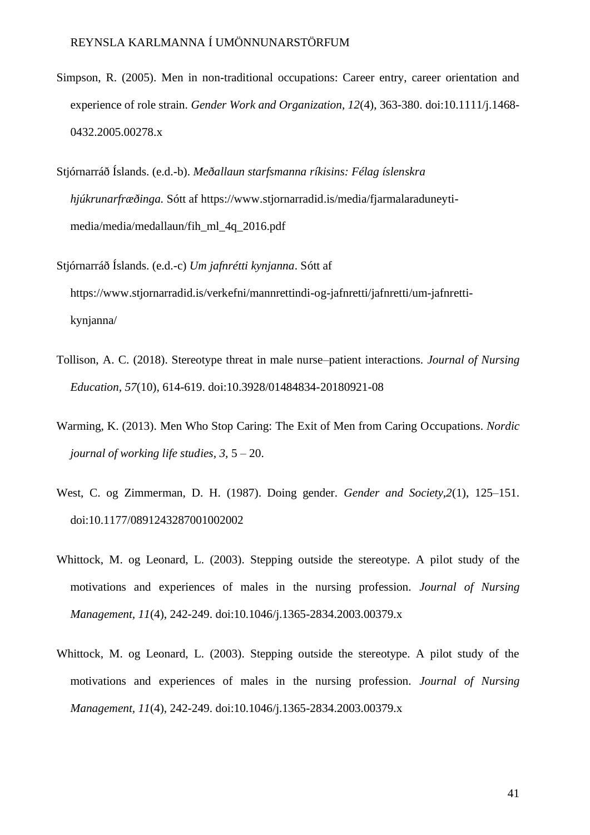- Simpson, R. (2005). Men in non-traditional occupations: Career entry, career orientation and experience of role strain. *Gender Work and Organization, 12*(4), 363-380. doi:10.1111/j.1468- 0432.2005.00278.x
- Stjórnarráð Íslands. (e.d.-b). *Meðallaun starfsmanna ríkisins: Félag íslenskra hjúkrunarfræðinga.* Sótt af https://www.stjornarradid.is/media/fjarmalaraduneytimedia/media/medallaun/fih\_ml\_4q\_2016.pdf
- Stjórnarráð Íslands. (e.d.-c) *Um jafnrétti kynjanna*. Sótt af https://www.stjornarradid.is/verkefni/mannrettindi-og-jafnretti/jafnretti/um-jafnrettikynjanna/
- Tollison, A. C. (2018). Stereotype threat in male nurse–patient interactions. *Journal of Nursing Education, 57*(10), 614-619. doi:10.3928/01484834-20180921-08
- Warming, K. (2013). Men Who Stop Caring: The Exit of Men from Caring Occupations. *Nordic journal of working life studies, 3,* 5 – 20.
- West, C. og Zimmerman, D. H. (1987). Doing gender*. Gender and Society,2*(1), 125–151. doi:10.1177/0891243287001002002
- Whittock, M. og Leonard, L. (2003). Stepping outside the stereotype. A pilot study of the motivations and experiences of males in the nursing profession. *Journal of Nursing Management, 11*(4), 242-249. doi:10.1046/j.1365-2834.2003.00379.x
- Whittock, M. og Leonard, L. (2003). Stepping outside the stereotype. A pilot study of the motivations and experiences of males in the nursing profession. *Journal of Nursing Management, 11*(4), 242-249. doi:10.1046/j.1365-2834.2003.00379.x